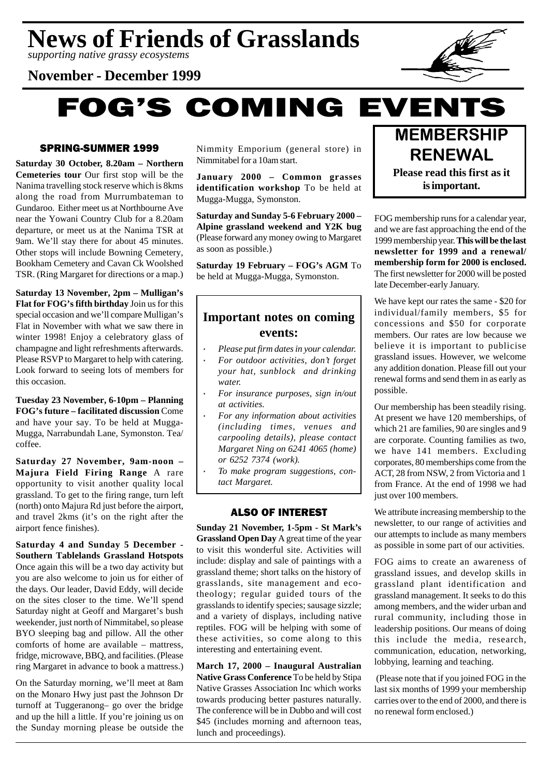*supporting native grassy ecosystems*

# **November - December 1999**

**FOG'S COMING EVENTS** 

# SPRING-SUMMER 1999

**Saturday 30 October, 8.20am – Northern Cemeteries tour** Our first stop will be the Nanima travelling stock reserve which is 8kms along the road from Murrumbateman to Gundaroo. Either meet us at Northbourne Ave near the Yowani Country Club for a 8.20am departure, or meet us at the Nanima TSR at 9am. We'll stay there for about 45 minutes. Other stops will include Bowning Cemetery, Bookham Cemetery and Cavan Ck Woolshed TSR. (Ring Margaret for directions or a map.)

**Saturday 13 November, 2pm – Mulligan's Flat for FOG's fifth birthday** Join us for this special occasion and we'll compare Mulligan's Flat in November with what we saw there in winter 1998! Enjoy a celebratory glass of champagne and light refreshments afterwards. Please RSVP to Margaret to help with catering. Look forward to seeing lots of members for this occasion.

**Tuesday 23 November, 6-10pm – Planning FOG's future – facilitated discussion** Come and have your say. To be held at Mugga-Mugga, Narrabundah Lane, Symonston. Tea/ coffee.

**Saturday 27 November, 9am-noon – Majura Field Firing Range** A rare opportunity to visit another quality local grassland. To get to the firing range, turn left (north) onto Majura Rd just before the airport, and travel 2kms (it's on the right after the airport fence finishes).

**Saturday 4 and Sunday 5 December - Southern Tablelands Grassland Hotspots** Once again this will be a two day activity but you are also welcome to join us for either of the days. Our leader, David Eddy, will decide on the sites closer to the time. We'll spend Saturday night at Geoff and Margaret's bush weekender, just north of Nimmitabel, so please BYO sleeping bag and pillow. All the other comforts of home are available – mattress, fridge, microwave, BBQ, and facilities. (Please ring Margaret in advance to book a mattress.)

On the Saturday morning, we'll meet at 8am on the Monaro Hwy just past the Johnson Dr turnoff at Tuggeranong– go over the bridge and up the hill a little. If you're joining us on the Sunday morning please be outside the Nimmity Emporium (general store) in Nimmitabel for a 10am start.

**January 2000 – Common grasses identification workshop** To be held at Mugga-Mugga, Symonston.

**Saturday and Sunday 5-6 February 2000 – Alpine grassland weekend and Y2K bug** (Please forward any money owing to Margaret as soon as possible.)

**Saturday 19 February – FOG's AGM** To be held at Mugga-Mugga, Symonston.

# **Important notes on coming events:**

- · *Please put firm dates in your calendar.*
- · *For outdoor activities, don't forget your hat, sunblock and drinking water.*
- · *For insurance purposes, sign in/out at activities.*
- · *For any information about activities (including times, venues and carpooling details), please contact Margaret Ning on 6241 4065 (home) or 6252 7374 (work).*
- · *To make program suggestions, contact Margaret.*

# ALSO OF INTEREST

**Sunday 21 November, 1-5pm - St Mark's Grassland Open Day** A great time of the year to visit this wonderful site. Activities will include: display and sale of paintings with a grassland theme; short talks on the history of grasslands, site management and ecotheology; regular guided tours of the grasslands to identify species; sausage sizzle; and a variety of displays, including native reptiles. FOG will be helping with some of these activities, so come along to this interesting and entertaining event.

**March 17, 2000 – Inaugural Australian Native Grass Conference** To be held by Stipa Native Grasses Association Inc which works towards producing better pastures naturally. The conference will be in Dubbo and will cost \$45 (includes morning and afternoon teas, lunch and proceedings).



FOG membership runs for a calendar year, and we are fast approaching the end of the 1999 membership year. **This will be the last newsletter for 1999 and a renewal/ membership form for 2000 is enclosed.** The first newsletter for 2000 will be posted late December-early January.

We have kept our rates the same - \$20 for individual/family members, \$5 for concessions and \$50 for corporate members. Our rates are low because we believe it is important to publicise grassland issues. However, we welcome any addition donation. Please fill out your renewal forms and send them in as early as possible.

Our membership has been steadily rising. At present we have 120 memberships, of which 21 are families, 90 are singles and 9 are corporate. Counting families as two, we have 141 members. Excluding corporates, 80 memberships come from the ACT, 28 from NSW, 2 from Victoria and 1 from France. At the end of 1998 we had just over 100 members.

We attribute increasing membership to the newsletter, to our range of activities and our attempts to include as many members as possible in some part of our activities.

FOG aims to create an awareness of grassland issues, and develop skills in grassland plant identification and grassland management. It seeks to do this among members, and the wider urban and rural community, including those in leadership positions. Our means of doing this include the media, research, communication, education, networking, lobbying, learning and teaching.

 (Please note that if you joined FOG in the last six months of 1999 your membership carries over to the end of 2000, and there is no renewal form enclosed.)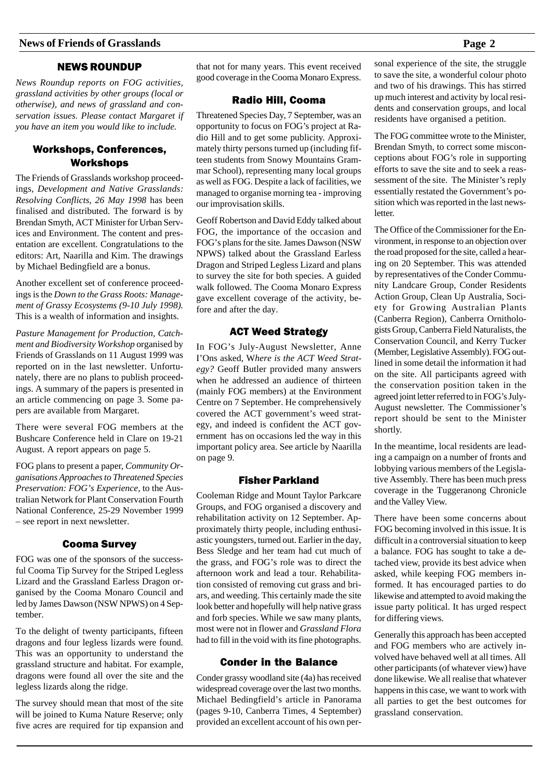# NEWS ROUNDUP

*News Roundup reports on FOG activities, grassland activities by other groups (local or otherwise), and news of grassland and conservation issues. Please contact Margaret if you have an item you would like to include.*

# Workshops, Conferences, Workshops

The Friends of Grasslands workshop proceedings, *Development and Native Grasslands: Resolving Conflicts, 26 May 1998* has been finalised and distributed. The forward is by Brendan Smyth, ACT Minister for Urban Services and Environment. The content and presentation are excellent. Congratulations to the editors: Art, Naarilla and Kim. The drawings by Michael Bedingfield are a bonus.

Another excellent set of conference proceedings is the *Down to the Grass Roots: Management of Grassy Ecosystems (9-10 July 1998).* This is a wealth of information and insights.

*Pasture Management for Production, Catchment and Biodiversity Workshop* organised by Friends of Grasslands on 11 August 1999 was reported on in the last newsletter. Unfortunately, there are no plans to publish proceedings. A summary of the papers is presented in an article commencing on page 3. Some papers are available from Margaret.

There were several FOG members at the Bushcare Conference held in Clare on 19-21 August. A report appears on page 5.

FOG plans to present a paper, *Community Organisations Approaches to Threatened Species Preservation: FOG's Experience,* to the Australian Network for Plant Conservation Fourth National Conference, 25-29 November 1999 – see report in next newsletter.

#### Cooma Survey

FOG was one of the sponsors of the successful Cooma Tip Survey for the Striped Legless Lizard and the Grassland Earless Dragon organised by the Cooma Monaro Council and led by James Dawson (NSW NPWS) on 4 September.

To the delight of twenty participants, fifteen dragons and four legless lizards were found. This was an opportunity to understand the grassland structure and habitat. For example, dragons were found all over the site and the legless lizards along the ridge.

The survey should mean that most of the site will be joined to Kuma Nature Reserve; only five acres are required for tip expansion and

that not for many years. This event received good coverage in the Cooma Monaro Express.

#### Radio Hill, Cooma

Threatened Species Day, 7 September, was an opportunity to focus on FOG's project at Radio Hill and to get some publicity. Approximately thirty persons turned up (including fifteen students from Snowy Mountains Grammar School), representing many local groups as well as FOG. Despite a lack of facilities, we managed to organise morning tea - improving our improvisation skills.

Geoff Robertson and David Eddy talked about FOG, the importance of the occasion and FOG's plans for the site. James Dawson (NSW NPWS) talked about the Grassland Earless Dragon and Striped Legless Lizard and plans to survey the site for both species. A guided walk followed. The Cooma Monaro Express gave excellent coverage of the activity, before and after the day.

#### ACT Weed Strategy

In FOG's July-August Newsletter, Anne I'Ons asked, W*here is the ACT Weed Strategy?* Geoff Butler provided many answers when he addressed an audience of thirteen (mainly FOG members) at the Environment Centre on 7 September. He comprehensively covered the ACT government's weed strategy, and indeed is confident the ACT government has on occasions led the way in this important policy area. See article by Naarilla on page 9.

#### Fisher Parkland

Cooleman Ridge and Mount Taylor Parkcare Groups, and FOG organised a discovery and rehabilitation activity on 12 September. Approximately thirty people, including enthusiastic youngsters, turned out. Earlier in the day, Bess Sledge and her team had cut much of the grass, and FOG's role was to direct the afternoon work and lead a tour. Rehabilitation consisted of removing cut grass and briars, and weeding. This certainly made the site look better and hopefully will help native grass and forb species. While we saw many plants, most were not in flower and *Grassland Flora* had to fill in the void with its fine photographs.

#### Conder in the Balance

Conder grassy woodland site (4a) has received widespread coverage over the last two months. Michael Bedingfield's article in Panorama (pages 9-10, Canberra Times, 4 September) provided an excellent account of his own personal experience of the site, the struggle to save the site, a wonderful colour photo and two of his drawings. This has stirred up much interest and activity by local residents and conservation groups, and local residents have organised a petition.

The FOG committee wrote to the Minister, Brendan Smyth, to correct some misconceptions about FOG's role in supporting efforts to save the site and to seek a reassessment of the site. The Minister's reply essentially restated the Government's position which was reported in the last newsletter.

The Office of the Commissioner for the Environment, in response to an objection over the road proposed for the site, called a hearing on 20 September. This was attended by representatives of the Conder Community Landcare Group, Conder Residents Action Group, Clean Up Australia, Society for Growing Australian Plants (Canberra Region), Canberra Ornithologists Group, Canberra Field Naturalists, the Conservation Council, and Kerry Tucker (Member, Legislative Assembly). FOG outlined in some detail the information it had on the site. All participants agreed with the conservation position taken in the agreed joint letter referred to in FOG's July-August newsletter. The Commissioner's report should be sent to the Minister shortly.

In the meantime, local residents are leading a campaign on a number of fronts and lobbying various members of the Legislative Assembly. There has been much press coverage in the Tuggeranong Chronicle and the Valley View.

There have been some concerns about FOG becoming involved in this issue. It is difficult in a controversial situation to keep a balance. FOG has sought to take a detached view, provide its best advice when asked, while keeping FOG members informed. It has encouraged parties to do likewise and attempted to avoid making the issue party political. It has urged respect for differing views.

Generally this approach has been accepted and FOG members who are actively involved have behaved well at all times. All other participants (of whatever view) have done likewise. We all realise that whatever happens in this case, we want to work with all parties to get the best outcomes for grassland conservation.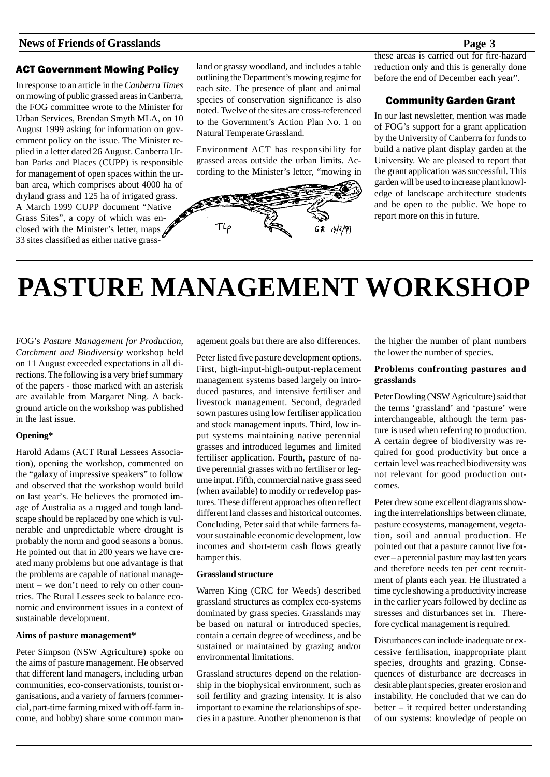# ACT Government Mowing Policy

In response to an article in the *Canberra Times* on mowing of public grassed areas in Canberra, the FOG committee wrote to the Minister for Urban Services, Brendan Smyth MLA, on 10 August 1999 asking for information on government policy on the issue. The Minister replied in a letter dated 26 August. Canberra Urban Parks and Places (CUPP) is responsible for management of open spaces within the urban area, which comprises about 4000 ha of dryland grass and 125 ha of irrigated grass. A March 1999 CUPP document "Native Grass Sites", a copy of which was enclosed with the Minister's letter, maps 33 sites classified as either native grassland or grassy woodland, and includes a table outlining the Department's mowing regime for each site. The presence of plant and animal species of conservation significance is also noted. Twelve of the sites are cross-referenced to the Government's Action Plan No. 1 on Natural Temperate Grassland.

Environment ACT has responsibility for grassed areas outside the urban limits. According to the Minister's letter, "mowing in



these areas is carried out for fire-hazard reduction only and this is generally done before the end of December each year".

# Community Garden Grant

In our last newsletter, mention was made of FOG's support for a grant application by the University of Canberra for funds to build a native plant display garden at the University. We are pleased to report that the grant application was successful. This garden will be used to increase plant knowledge of landscape architecture students and be open to the public. We hope to report more on this in future.

# **PASTURE MANAGEMENT WORKSHOP**

FOG's *Pasture Management for Production, Catchment and Biodiversity* workshop held on 11 August exceeded expectations in all directions. The following is a very brief summary of the papers - those marked with an asterisk are available from Margaret Ning. A background article on the workshop was published in the last issue.

#### **Opening\***

Harold Adams (ACT Rural Lessees Association), opening the workshop, commented on the "galaxy of impressive speakers" to follow and observed that the workshop would build on last year's. He believes the promoted image of Australia as a rugged and tough landscape should be replaced by one which is vulnerable and unpredictable where drought is probably the norm and good seasons a bonus. He pointed out that in 200 years we have created many problems but one advantage is that the problems are capable of national management – we don't need to rely on other countries. The Rural Lessees seek to balance economic and environment issues in a context of sustainable development.

#### **Aims of pasture management\***

Peter Simpson (NSW Agriculture) spoke on the aims of pasture management. He observed that different land managers, including urban communities, eco-conservationists, tourist organisations, and a variety of farmers (commercial, part-time farming mixed with off-farm income, and hobby) share some common management goals but there are also differences.

Peter listed five pasture development options. First, high-input-high-output-replacement management systems based largely on introduced pastures, and intensive fertiliser and livestock management. Second, degraded sown pastures using low fertiliser application and stock management inputs. Third, low input systems maintaining native perennial grasses and introduced legumes and limited fertiliser application. Fourth, pasture of native perennial grasses with no fertiliser or legume input. Fifth, commercial native grass seed (when available) to modify or redevelop pastures. These different approaches often reflect different land classes and historical outcomes. Concluding, Peter said that while farmers favour sustainable economic development, low incomes and short-term cash flows greatly hamper this.

#### **Grassland structure**

Warren King (CRC for Weeds) described grassland structures as complex eco-systems dominated by grass species. Grasslands may be based on natural or introduced species, contain a certain degree of weediness, and be sustained or maintained by grazing and/or environmental limitations.

Grassland structures depend on the relationship in the biophysical environment, such as soil fertility and grazing intensity. It is also important to examine the relationships of species in a pasture. Another phenomenon is that the higher the number of plant numbers the lower the number of species.

#### **Problems confronting pastures and grasslands**

Peter Dowling (NSW Agriculture) said that the terms 'grassland' and 'pasture' were interchangeable, although the term pasture is used when referring to production. A certain degree of biodiversity was required for good productivity but once a certain level was reached biodiversity was not relevant for good production outcomes.

Peter drew some excellent diagrams showing the interrelationships between climate, pasture ecosystems, management, vegetation, soil and annual production. He pointed out that a pasture cannot live forever – a perennial pasture may last ten years and therefore needs ten per cent recruitment of plants each year. He illustrated a time cycle showing a productivity increase in the earlier years followed by decline as stresses and disturbances set in. Therefore cyclical management is required.

Disturbances can include inadequate or excessive fertilisation, inappropriate plant species, droughts and grazing. Consequences of disturbance are decreases in desirable plant species, greater erosion and instability. He concluded that we can do better – it required better understanding of our systems: knowledge of people on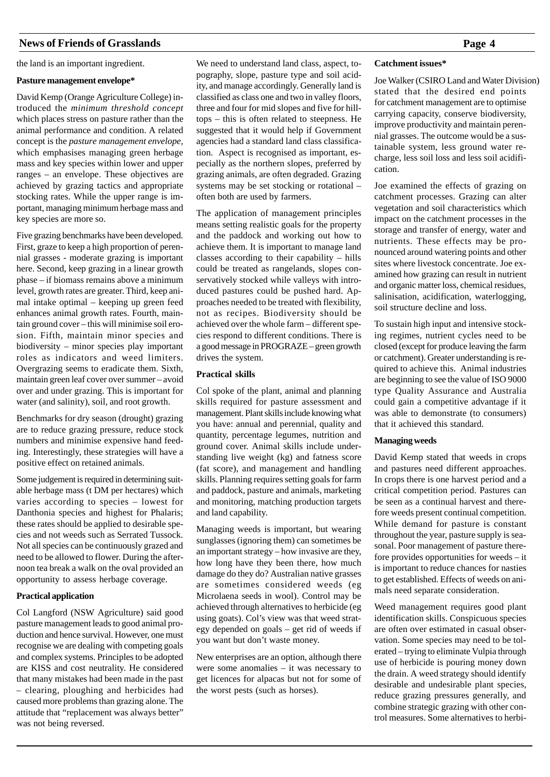the land is an important ingredient.

#### **Pasture management envelope\***

David Kemp (Orange Agriculture College) introduced the *minimum threshold concept* which places stress on pasture rather than the animal performance and condition. A related concept is the *pasture management envelope,* which emphasises managing green herbage mass and key species within lower and upper ranges – an envelope. These objectives are achieved by grazing tactics and appropriate stocking rates. While the upper range is important, managing minimum herbage mass and key species are more so.

Five grazing benchmarks have been developed. First, graze to keep a high proportion of perennial grasses - moderate grazing is important here. Second, keep grazing in a linear growth phase – if biomass remains above a minimum level, growth rates are greater. Third, keep animal intake optimal – keeping up green feed enhances animal growth rates. Fourth, maintain ground cover – this will minimise soil erosion. Fifth, maintain minor species and biodiversity – minor species play important roles as indicators and weed limiters. Overgrazing seems to eradicate them. Sixth, maintain green leaf cover over summer – avoid over and under grazing. This is important for water (and salinity), soil, and root growth.

Benchmarks for dry season (drought) grazing are to reduce grazing pressure, reduce stock numbers and minimise expensive hand feeding. Interestingly, these strategies will have a positive effect on retained animals.

Some judgement is required in determining suitable herbage mass (t DM per hectares) which varies according to species – lowest for Danthonia species and highest for Phalaris; these rates should be applied to desirable species and not weeds such as Serrated Tussock. Not all species can be continuously grazed and need to be allowed to flower. During the afternoon tea break a walk on the oval provided an opportunity to assess herbage coverage.

#### **Practical application**

Col Langford (NSW Agriculture) said good pasture management leads to good animal production and hence survival. However, one must recognise we are dealing with competing goals and complex systems. Principles to be adopted are KISS and cost neutrality. He considered that many mistakes had been made in the past – clearing, ploughing and herbicides had caused more problems than grazing alone. The attitude that "replacement was always better" was not being reversed.

We need to understand land class, aspect, topography, slope, pasture type and soil acidity, and manage accordingly. Generally land is classified as class one and two in valley floors, three and four for mid slopes and five for hilltops – this is often related to steepness. He suggested that it would help if Government agencies had a standard land class classification. Aspect is recognised as important, especially as the northern slopes, preferred by grazing animals, are often degraded. Grazing systems may be set stocking or rotational – often both are used by farmers.

The application of management principles means setting realistic goals for the property and the paddock and working out how to achieve them. It is important to manage land classes according to their capability – hills could be treated as rangelands, slopes conservatively stocked while valleys with introduced pastures could be pushed hard. Approaches needed to be treated with flexibility, not as recipes. Biodiversity should be achieved over the whole farm – different species respond to different conditions. There is a good message in PROGRAZE – green growth drives the system.

#### **Practical skills**

Col spoke of the plant, animal and planning skills required for pasture assessment and management. Plant skills include knowing what you have: annual and perennial, quality and quantity, percentage legumes, nutrition and ground cover. Animal skills include understanding live weight (kg) and fatness score (fat score), and management and handling skills. Planning requires setting goals for farm and paddock, pasture and animals, marketing and monitoring, matching production targets and land capability.

Managing weeds is important, but wearing sunglasses (ignoring them) can sometimes be an important strategy – how invasive are they, how long have they been there, how much damage do they do? Australian native grasses are sometimes considered weeds (eg Microlaena seeds in wool). Control may be achieved through alternatives to herbicide (eg using goats). Col's view was that weed strategy depended on goals – get rid of weeds if you want but don't waste money.

New enterprises are an option, although there were some anomalies – it was necessary to get licences for alpacas but not for some of the worst pests (such as horses).

#### **Catchment issues\***

Joe Walker (CSIRO Land and Water Division) stated that the desired end points for catchment management are to optimise carrying capacity, conserve biodiversity, improve productivity and maintain perennial grasses. The outcome would be a sustainable system, less ground water recharge, less soil loss and less soil acidification.

Joe examined the effects of grazing on catchment processes. Grazing can alter vegetation and soil characteristics which impact on the catchment processes in the storage and transfer of energy, water and nutrients. These effects may be pronounced around watering points and other sites where livestock concentrate. Joe examined how grazing can result in nutrient and organic matter loss, chemical residues, salinisation, acidification, waterlogging, soil structure decline and loss.

To sustain high input and intensive stocking regimes, nutrient cycles need to be closed (except for produce leaving the farm or catchment). Greater understanding is required to achieve this. Animal industries are beginning to see the value of ISO 9000 type Quality Assurance and Australia could gain a competitive advantage if it was able to demonstrate (to consumers) that it achieved this standard.

#### **Managing weeds**

David Kemp stated that weeds in crops and pastures need different approaches. In crops there is one harvest period and a critical competition period. Pastures can be seen as a continual harvest and therefore weeds present continual competition. While demand for pasture is constant throughout the year, pasture supply is seasonal. Poor management of pasture therefore provides opportunities for weeds – it is important to reduce chances for nasties to get established. Effects of weeds on animals need separate consideration.

Weed management requires good plant identification skills. Conspicuous species are often over estimated in casual observation. Some species may need to be tolerated – trying to eliminate Vulpia through use of herbicide is pouring money down the drain. A weed strategy should identify desirable and undesirable plant species, reduce grazing pressures generally, and combine strategic grazing with other control measures. Some alternatives to herbi-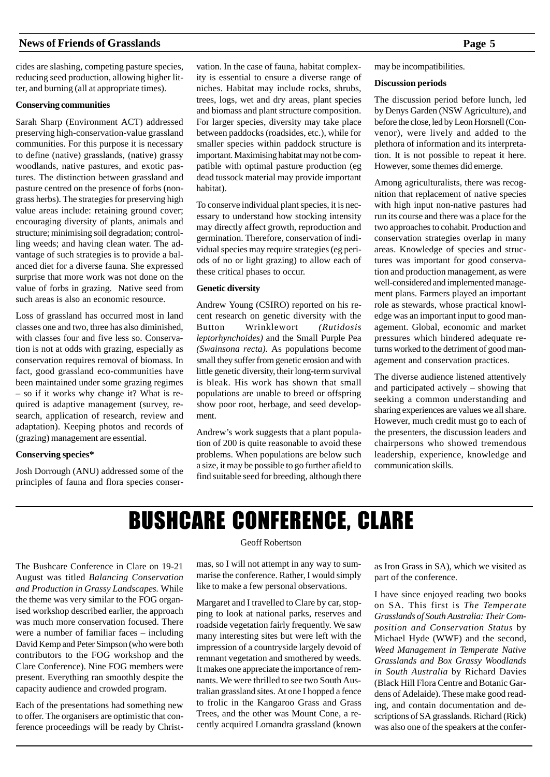cides are slashing, competing pasture species, reducing seed production, allowing higher litter, and burning (all at appropriate times).

#### **Conserving communities**

Sarah Sharp (Environment ACT) addressed preserving high-conservation-value grassland communities. For this purpose it is necessary to define (native) grasslands, (native) grassy woodlands, native pastures, and exotic pastures. The distinction between grassland and pasture centred on the presence of forbs (nongrass herbs). The strategies for preserving high value areas include: retaining ground cover; encouraging diversity of plants, animals and structure; minimising soil degradation; controlling weeds; and having clean water. The advantage of such strategies is to provide a balanced diet for a diverse fauna. She expressed surprise that more work was not done on the value of forbs in grazing. Native seed from such areas is also an economic resource.

Loss of grassland has occurred most in land classes one and two, three has also diminished, with classes four and five less so. Conservation is not at odds with grazing, especially as conservation requires removal of biomass. In fact, good grassland eco-communities have been maintained under some grazing regimes – so if it works why change it? What is required is adaptive management (survey, research, application of research, review and adaptation). Keeping photos and records of (grazing) management are essential.

#### **Conserving species\***

Josh Dorrough (ANU) addressed some of the principles of fauna and flora species conservation. In the case of fauna, habitat complexity is essential to ensure a diverse range of niches. Habitat may include rocks, shrubs, trees, logs, wet and dry areas, plant species and biomass and plant structure composition. For larger species, diversity may take place between paddocks (roadsides, etc.), while for smaller species within paddock structure is important. Maximising habitat may not be compatible with optimal pasture production (eg dead tussock material may provide important habitat).

To conserve individual plant species, it is necessary to understand how stocking intensity may directly affect growth, reproduction and germination. Therefore, conservation of individual species may require strategies (eg periods of no or light grazing) to allow each of these critical phases to occur.

#### **Genetic diversity**

Andrew Young (CSIRO) reported on his recent research on genetic diversity with the Button Wrinklewort *(Rutidosis leptorhynchoides)* and the Small Purple Pea *(Swainsona recta).* As populations become small they suffer from genetic erosion and with little genetic diversity, their long-term survival is bleak. His work has shown that small populations are unable to breed or offspring show poor root, herbage, and seed development.

Andrew's work suggests that a plant population of 200 is quite reasonable to avoid these problems. When populations are below such a size, it may be possible to go further afield to find suitable seed for breeding, although there may be incompatibilities.

#### **Discussion periods**

The discussion period before lunch, led by Denys Garden (NSW Agriculture), and before the close, led by Leon Horsnell (Convenor), were lively and added to the plethora of information and its interpretation. It is not possible to repeat it here. However, some themes did emerge.

Among agriculturalists, there was recognition that replacement of native species with high input non-native pastures had run its course and there was a place for the two approaches to cohabit. Production and conservation strategies overlap in many areas. Knowledge of species and structures was important for good conservation and production management, as were well-considered and implemented management plans. Farmers played an important role as stewards, whose practical knowledge was an important input to good management. Global, economic and market pressures which hindered adequate returns worked to the detriment of good management and conservation practices.

The diverse audience listened attentively and participated actively – showing that seeking a common understanding and sharing experiences are values we all share. However, much credit must go to each of the presenters, the discussion leaders and chairpersons who showed tremendous leadership, experience, knowledge and communication skills.

# BUSHCARE CONFERENCE, CLARE

The Bushcare Conference in Clare on 19-21 August was titled *Balancing Conservation and Production in Grassy Landscapes.* While the theme was very similar to the FOG organised workshop described earlier, the approach was much more conservation focused. There were a number of familiar faces – including David Kemp and Peter Simpson (who were both contributors to the FOG workshop and the Clare Conference). Nine FOG members were present. Everything ran smoothly despite the capacity audience and crowded program.

Each of the presentations had something new to offer. The organisers are optimistic that conference proceedings will be ready by Christ-

#### Geoff Robertson

mas, so I will not attempt in any way to summarise the conference. Rather, I would simply like to make a few personal observations.

Margaret and I travelled to Clare by car, stopping to look at national parks, reserves and roadside vegetation fairly frequently. We saw many interesting sites but were left with the impression of a countryside largely devoid of remnant vegetation and smothered by weeds. It makes one appreciate the importance of remnants. We were thrilled to see two South Australian grassland sites. At one I hopped a fence to frolic in the Kangaroo Grass and Grass Trees, and the other was Mount Cone, a recently acquired Lomandra grassland (known

as Iron Grass in SA), which we visited as part of the conference.

I have since enjoyed reading two books on SA. This first is *The Temperate Grasslands of South Australia: Their Composition and Conservation Status* by Michael Hyde (WWF) and the second, *Weed Management in Temperate Native Grasslands and Box Grassy Woodlands in South Australia* by Richard Davies (Black Hill Flora Centre and Botanic Gardens of Adelaide). These make good reading, and contain documentation and descriptions of SA grasslands. Richard (Rick) was also one of the speakers at the confer-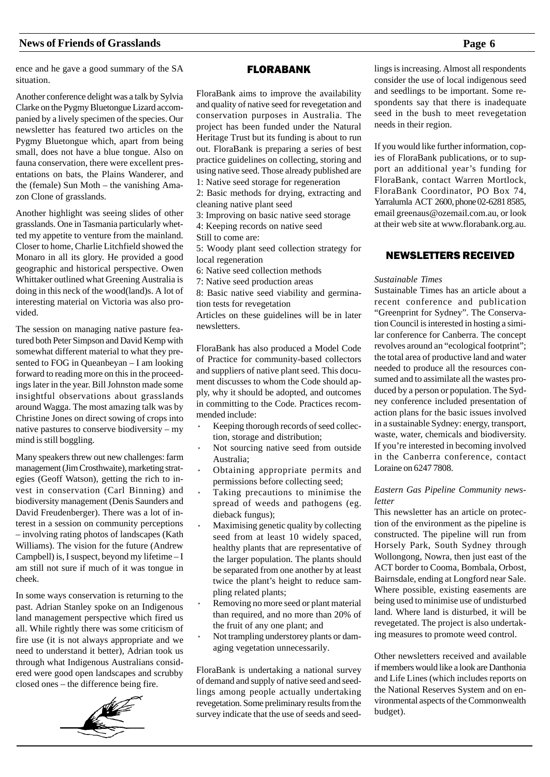ence and he gave a good summary of the SA situation.

Another conference delight was a talk by Sylvia Clarke on the Pygmy Bluetongue Lizard accompanied by a lively specimen of the species. Our newsletter has featured two articles on the Pygmy Bluetongue which, apart from being small, does not have a blue tongue. Also on fauna conservation, there were excellent presentations on bats, the Plains Wanderer, and the (female) Sun Moth – the vanishing Amazon Clone of grasslands.

Another highlight was seeing slides of other grasslands. One in Tasmania particularly whetted my appetite to venture from the mainland. Closer to home, Charlie Litchfield showed the Monaro in all its glory. He provided a good geographic and historical perspective. Owen Whittaker outlined what Greening Australia is doing in this neck of the wood(land)s. A lot of interesting material on Victoria was also provided.

The session on managing native pasture featured both Peter Simpson and David Kemp with somewhat different material to what they presented to FOG in Queanbeyan – I am looking forward to reading more on this in the proceedings later in the year. Bill Johnston made some insightful observations about grasslands around Wagga. The most amazing talk was by Christine Jones on direct sowing of crops into native pastures to conserve biodiversity – my mind is still boggling.

Many speakers threw out new challenges: farm management (Jim Crosthwaite), marketing strategies (Geoff Watson), getting the rich to invest in conservation (Carl Binning) and biodiversity management (Denis Saunders and David Freudenberger). There was a lot of interest in a session on community perceptions – involving rating photos of landscapes (Kath Williams). The vision for the future (Andrew Campbell) is, I suspect, beyond my lifetime – I am still not sure if much of it was tongue in cheek.

In some ways conservation is returning to the past. Adrian Stanley spoke on an Indigenous land management perspective which fired us all. While rightly there was some criticism of fire use (it is not always appropriate and we need to understand it better), Adrian took us through what Indigenous Australians considered were good open landscapes and scrubby closed ones – the difference being fire.



#### FLORABANK

FloraBank aims to improve the availability and quality of native seed for revegetation and conservation purposes in Australia. The project has been funded under the Natural Heritage Trust but its funding is about to run out. FloraBank is preparing a series of best practice guidelines on collecting, storing and using native seed. Those already published are 1: Native seed storage for regeneration 2: Basic methods for drying, extracting and cleaning native plant seed 3: Improving on basic native seed storage 4: Keeping records on native seed Still to come are: 5: Woody plant seed collection strategy for local regeneration 6: Native seed collection methods 7: Native seed production areas 8: Basic native seed viability and germination tests for revegetation Articles on these guidelines will be in later newsletters.

FloraBank has also produced a Model Code of Practice for community-based collectors and suppliers of native plant seed. This document discusses to whom the Code should apply, why it should be adopted, and outcomes in committing to the Code. Practices recommended include:

- Keeping thorough records of seed collection, storage and distribution;
- Not sourcing native seed from outside Australia;
- Obtaining appropriate permits and permissions before collecting seed;
- Taking precautions to minimise the spread of weeds and pathogens (eg. dieback fungus);
- Maximising genetic quality by collecting seed from at least 10 widely spaced, healthy plants that are representative of the larger population. The plants should be separated from one another by at least twice the plant's height to reduce sampling related plants;
- Removing no more seed or plant material than required, and no more than 20% of the fruit of any one plant; and
- Not trampling understorey plants or damaging vegetation unnecessarily.

FloraBank is undertaking a national survey of demand and supply of native seed and seedlings among people actually undertaking revegetation. Some preliminary results from the survey indicate that the use of seeds and seedlings is increasing. Almost all respondents consider the use of local indigenous seed and seedlings to be important. Some respondents say that there is inadequate seed in the bush to meet revegetation needs in their region.

If you would like further information, copies of FloraBank publications, or to support an additional year's funding for FloraBank, contact Warren Mortlock, FloraBank Coordinator, PO Box 74, Yarralumla ACT 2600, phone 02-6281 8585, email greenaus@ozemail.com.au, or look at their web site at www.florabank.org.au.

# NEWSLETTERS RECEIVED

#### *Sustainable Times*

Sustainable Times has an article about a recent conference and publication "Greenprint for Sydney". The Conservation Council is interested in hosting a similar conference for Canberra. The concept revolves around an "ecological footprint"; the total area of productive land and water needed to produce all the resources consumed and to assimilate all the wastes produced by a person or population. The Sydney conference included presentation of action plans for the basic issues involved in a sustainable Sydney: energy, transport, waste, water, chemicals and biodiversity. If you're interested in becoming involved in the Canberra conference, contact Loraine on 6247 7808.

#### *Eastern Gas Pipeline Community newsletter*

This newsletter has an article on protection of the environment as the pipeline is constructed. The pipeline will run from Horsely Park, South Sydney through Wollongong, Nowra, then just east of the ACT border to Cooma, Bombala, Orbost, Bairnsdale, ending at Longford near Sale. Where possible, existing easements are being used to minimise use of undisturbed land. Where land is disturbed, it will be revegetated. The project is also undertaking measures to promote weed control.

Other newsletters received and available if members would like a look are Danthonia and Life Lines (which includes reports on the National Reserves System and on environmental aspects of the Commonwealth budget).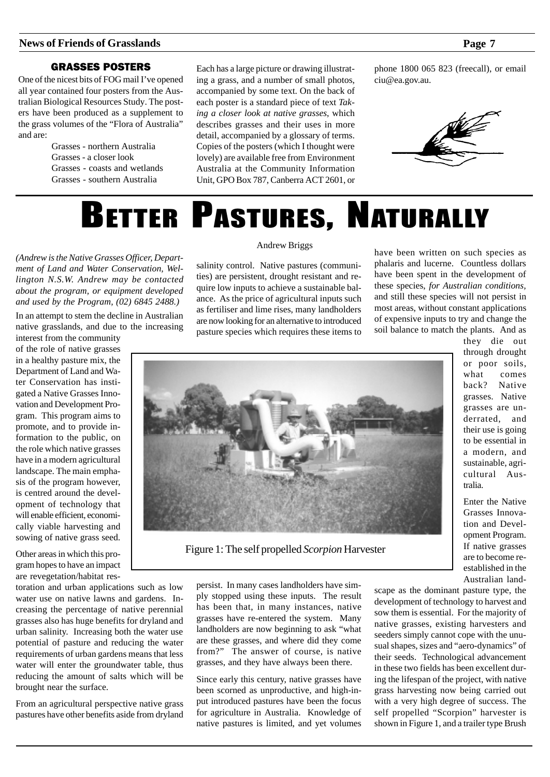# GRASSES POSTERS

One of the nicest bits of FOG mail I've opened all year contained four posters from the Australian Biological Resources Study. The posters have been produced as a supplement to the grass volumes of the "Flora of Australia" and are:

> Grasses - northern Australia Grasses - a closer look Grasses - coasts and wetlands Grasses - southern Australia

Each has a large picture or drawing illustrating a grass, and a number of small photos, accompanied by some text. On the back of each poster is a standard piece of text *Taking a closer look at native grasses*, which describes grasses and their uses in more detail, accompanied by a glossary of terms. Copies of the posters (which I thought were lovely) are available free from Environment Australia at the Community Information Unit, GPO Box 787, Canberra ACT 2601, or phone 1800 065 823 (freecall), or email ciu@ea.gov.au.



# BETTER PASTURES, NATURALLY

*(Andrew is the Native Grasses Officer, Department of Land and Water Conservation, Wellington N.S.W. Andrew may be contacted about the program, or equipment developed and used by the Program, (02) 6845 2488.)*

In an attempt to stem the decline in Australian native grasslands, and due to the increasing interest from the community

of the role of native grasses in a healthy pasture mix, the Department of Land and Water Conservation has instigated a Native Grasses Innovation and Development Program. This program aims to promote, and to provide information to the public, on the role which native grasses have in a modern agricultural landscape. The main emphasis of the program however, is centred around the development of technology that will enable efficient, economically viable harvesting and sowing of native grass seed.

Other areas in which this program hopes to have an impact are revegetation/habitat res-

toration and urban applications such as low water use on native lawns and gardens. Increasing the percentage of native perennial grasses also has huge benefits for dryland and urban salinity. Increasing both the water use potential of pasture and reducing the water requirements of urban gardens means that less water will enter the groundwater table, thus reducing the amount of salts which will be brought near the surface.

From an agricultural perspective native grass pastures have other benefits aside from dryland

#### Andrew Briggs

salinity control. Native pastures (communities) are persistent, drought resistant and require low inputs to achieve a sustainable balance. As the price of agricultural inputs such as fertiliser and lime rises, many landholders are now looking for an alternative to introduced pasture species which requires these items to have been written on such species as phalaris and lucerne. Countless dollars have been spent in the development of these species, *for Australian conditions,* and still these species will not persist in most areas, without constant applications of expensive inputs to try and change the soil balance to match the plants. And as



Figure 1: The self propelled *Scorpion* Harvester

persist. In many cases landholders have simply stopped using these inputs. The result has been that, in many instances, native grasses have re-entered the system. Many landholders are now beginning to ask "what are these grasses, and where did they come from?" The answer of course, is native grasses, and they have always been there.

Since early this century, native grasses have been scorned as unproductive, and high-input introduced pastures have been the focus for agriculture in Australia. Knowledge of native pastures is limited, and yet volumes they die out through drought or poor soils, what comes back? Native grasses. Native grasses are underrated, and their use is going to be essential in a modern, and sustainable, agricultural Australia.

Enter the Native Grasses Innovation and Development Program. If native grasses are to become reestablished in the Australian land-

scape as the dominant pasture type, the development of technology to harvest and sow them is essential. For the majority of native grasses, existing harvesters and seeders simply cannot cope with the unusual shapes, sizes and "aero-dynamics" of their seeds. Technological advancement in these two fields has been excellent during the lifespan of the project, with native grass harvesting now being carried out with a very high degree of success. The self propelled "Scorpion" harvester is shown in Figure 1, and a trailer type Brush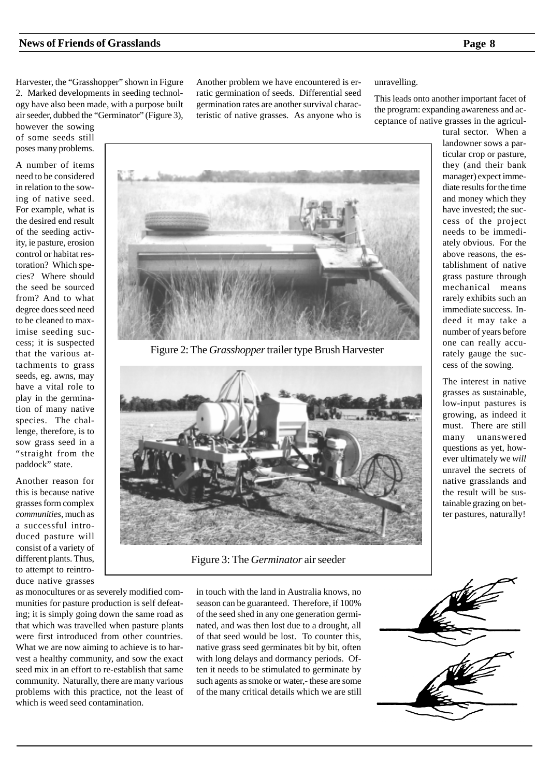Harvester, the "Grasshopper" shown in Figure 2. Marked developments in seeding technology have also been made, with a purpose built air seeder, dubbed the "Germinator" (Figure 3),

however the sowing of some seeds still poses many problems.

A number of items need to be considered in relation to the sowing of native seed. For example, what is the desired end result of the seeding activity, ie pasture, erosion control or habitat restoration? Which species? Where should the seed be sourced from? And to what degree does seed need to be cleaned to maximise seeding success; it is suspected that the various attachments to grass seeds, eg. awns, may have a vital role to play in the germination of many native species. The challenge, therefore, is to sow grass seed in a "straight from the paddock" state.

Another reason for this is because native grasses form complex *communities*, much as a successful introduced pasture will consist of a variety of different plants. Thus, to attempt to reintroduce native grasses Another problem we have encountered is erratic germination of seeds. Differential seed germination rates are another survival characteristic of native grasses. As anyone who is

#### unravelling.

This leads onto another important facet of the program: expanding awareness and acceptance of native grasses in the agricul-



The interest in native grasses as sustainable, low-input pastures is growing, as indeed it must. There are still many unanswered questions as yet, however ultimately we *will* unravel the secrets of native grasslands and the result will be sustainable grazing on better pastures, naturally!



Figure 2: The *Grasshopper* trailer type Brush Harvester



Figure 3: The *Germinator* air seeder

as monocultures or as severely modified communities for pasture production is self defeating; it is simply going down the same road as that which was travelled when pasture plants were first introduced from other countries. What we are now aiming to achieve is to harvest a healthy community, and sow the exact seed mix in an effort to re-establish that same community. Naturally, there are many various problems with this practice, not the least of which is weed seed contamination.

in touch with the land in Australia knows, no season can be guaranteed. Therefore, if 100% of the seed shed in any one generation germinated, and was then lost due to a drought, all of that seed would be lost. To counter this, native grass seed germinates bit by bit, often with long delays and dormancy periods. Often it needs to be stimulated to germinate by such agents as smoke or water,- these are some of the many critical details which we are still

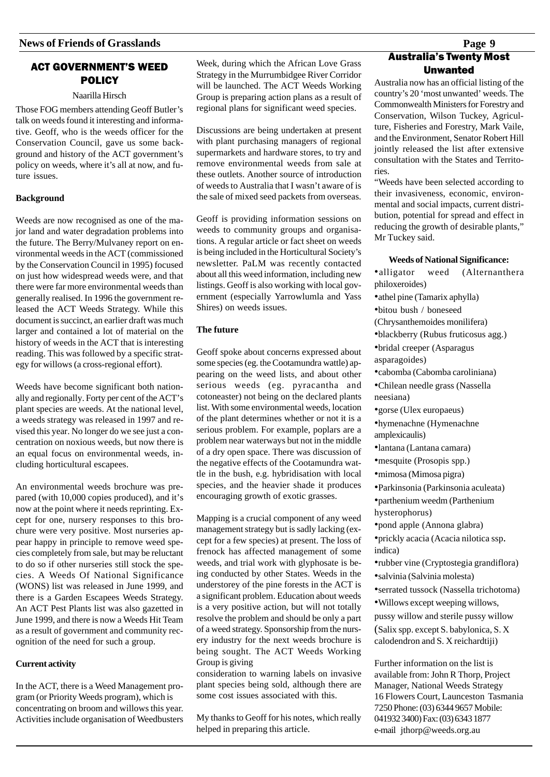# **ACT GOVERNMENT'S WEED POLICY**

#### Naarilla Hirsch

Those FOG members attending Geoff Butler's talk on weeds found it interesting and informative. Geoff, who is the weeds officer for the Conservation Council, gave us some background and history of the ACT government's policy on weeds, where it's all at now, and future issues.

#### **Background**

Weeds are now recognised as one of the major land and water degradation problems into the future. The Berry/Mulvaney report on environmental weeds in the ACT (commissioned by the Conservation Council in 1995) focused on just how widespread weeds were, and that there were far more environmental weeds than generally realised. In 1996 the government released the ACT Weeds Strategy. While this document is succinct, an earlier draft was much larger and contained a lot of material on the history of weeds in the ACT that is interesting reading. This was followed by a specific strategy for willows (a cross-regional effort).

Weeds have become significant both nationally and regionally. Forty per cent of the ACT's plant species are weeds. At the national level, a weeds strategy was released in 1997 and revised this year. No longer do we see just a concentration on noxious weeds, but now there is an equal focus on environmental weeds, including horticultural escapees.

An environmental weeds brochure was prepared (with 10,000 copies produced), and it's now at the point where it needs reprinting. Except for one, nursery responses to this brochure were very positive. Most nurseries appear happy in principle to remove weed species completely from sale, but may be reluctant to do so if other nurseries still stock the species. A Weeds Of National Significance (WONS) list was released in June 1999, and there is a Garden Escapees Weeds Strategy. An ACT Pest Plants list was also gazetted in June 1999, and there is now a Weeds Hit Team as a result of government and community recognition of the need for such a group.

#### **Current activity**

In the ACT, there is a Weed Management program (or Priority Weeds program), which is concentrating on broom and willows this year. Activities include organisation of Weedbusters

Week, during which the African Love Grass Strategy in the Murrumbidgee River Corridor will be launched. The ACT Weeds Working Group is preparing action plans as a result of regional plans for significant weed species.

Discussions are being undertaken at present with plant purchasing managers of regional supermarkets and hardware stores, to try and remove environmental weeds from sale at these outlets. Another source of introduction of weeds to Australia that I wasn't aware of is the sale of mixed seed packets from overseas.

Geoff is providing information sessions on weeds to community groups and organisations. A regular article or fact sheet on weeds is being included in the Horticultural Society's newsletter. PaLM was recently contacted about all this weed information, including new listings. Geoff is also working with local government (especially Yarrowlumla and Yass Shires) on weeds issues.

#### **The future**

Geoff spoke about concerns expressed about some species (eg. the Cootamundra wattle) appearing on the weed lists, and about other serious weeds (eg. pyracantha and cotoneaster) not being on the declared plants list. With some environmental weeds, location of the plant determines whether or not it is a serious problem. For example, poplars are a problem near waterways but not in the middle of a dry open space. There was discussion of the negative effects of the Cootamundra wattle in the bush, e.g. hybridisation with local species, and the heavier shade it produces encouraging growth of exotic grasses.

Mapping is a crucial component of any weed management strategy but is sadly lacking (except for a few species) at present. The loss of frenock has affected management of some weeds, and trial work with glyphosate is being conducted by other States. Weeds in the understorey of the pine forests in the ACT is a significant problem. Education about weeds is a very positive action, but will not totally resolve the problem and should be only a part of a weed strategy. Sponsorship from the nursery industry for the next weeds brochure is being sought. The ACT Weeds Working Group is giving

consideration to warning labels on invasive plant species being sold, although there are some cost issues associated with this.

My thanks to Geoff for his notes, which really helped in preparing this article.

# Australia's Twenty Most Unwanted

Australia now has an official listing of the country's 20 'most unwanted' weeds. The Commonwealth Ministers for Forestry and Conservation, Wilson Tuckey, Agriculture, Fisheries and Forestry, Mark Vaile, and the Environment, Senator Robert Hill jointly released the list after extensive consultation with the States and Territories.

"Weeds have been selected according to their invasiveness, economic, environmental and social impacts, current distribution, potential for spread and effect in reducing the growth of desirable plants," Mr Tuckey said.

#### **Weeds of National Significance:**

- •alligator weed (Alternanthera philoxeroides)
- •athel pine (Tamarix aphylla)
- •bitou bush / boneseed
- (Chrysanthemoides monilifera)
- •blackberry (Rubus fruticosus agg.)
- •bridal creeper (Asparagus asparagoides)
- •cabomba (Cabomba caroliniana)
- •Chilean needle grass (Nassella neesiana)
- •gorse (Ulex europaeus)
- •hymenachne (Hymenachne amplexicaulis)
- •lantana (Lantana camara)
- •mesquite (Prosopis spp.)
- •mimosa (Mimosa pigra)
- •Parkinsonia (Parkinsonia aculeata)
- •parthenium weedm (Parthenium hysterophorus)
- •pond apple (Annona glabra)
- •prickly acacia (Acacia nilotica ssp. indica)
- •rubber vine (Cryptostegia grandiflora)
- •salvinia (Salvinia molesta)
- •serrated tussock (Nassella trichotoma)
- •Willows except weeping willows,

pussy willow and sterile pussy willow (Salix spp. except S. babylonica, S. X calodendron and S. X reichardtiji)

Further information on the list is available from: John R Thorp, Project Manager, National Weeds Strategy 16 Flowers Court, Launceston Tasmania 7250 Phone: (03) 6344 9657 Mobile: 041932 3400) Fax: (03) 6343 1877 e-mail jthorp@weeds.org.au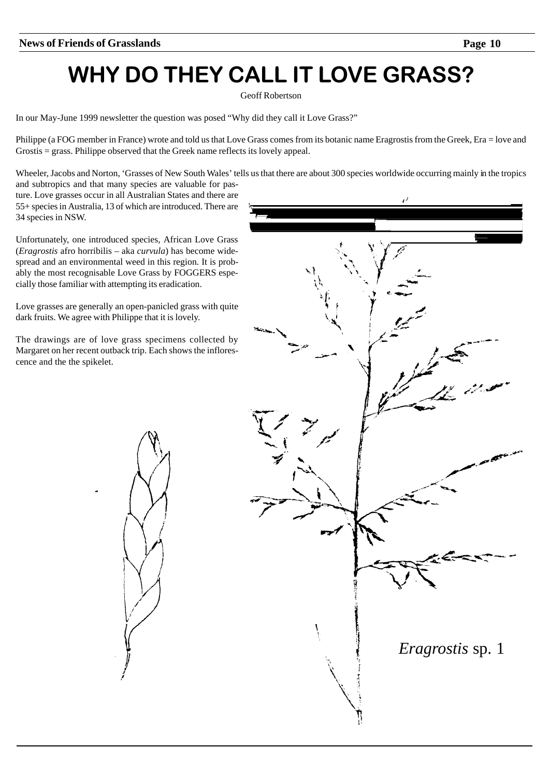# WHY DO THEY CALL IT LOVE GRASS?

Geoff Robertson

In our May-June 1999 newsletter the question was posed "Why did they call it Love Grass?"

Philippe (a FOG member in France) wrote and told us that Love Grass comes from its botanic name Eragrostis from the Greek, Era = love and Grostis = grass. Philippe observed that the Greek name reflects its lovely appeal.

Wheeler, Jacobs and Norton, 'Grasses of New South Wales' tells us that there are about 300 species worldwide occurring mainly in the tropics

and subtropics and that many species are valuable for pasture. Love grasses occur in all Australian States and there are 55+ species in Australia, 13 of which are introduced. There are 34 species in NSW.

Unfortunately, one introduced species, African Love Grass (*Eragrostis* afro horribilis – aka *curvula*) has become widespread and an environmental weed in this region. It is probably the most recognisable Love Grass by FOGGERS especially those familiar with attempting its eradication.

Love grasses are generally an open-panicled grass with quite dark fruits. We agree with Philippe that it is lovely.

The drawings are of love grass specimens collected by Margaret on her recent outback trip. Each shows the inflorescence and the the spikelet.

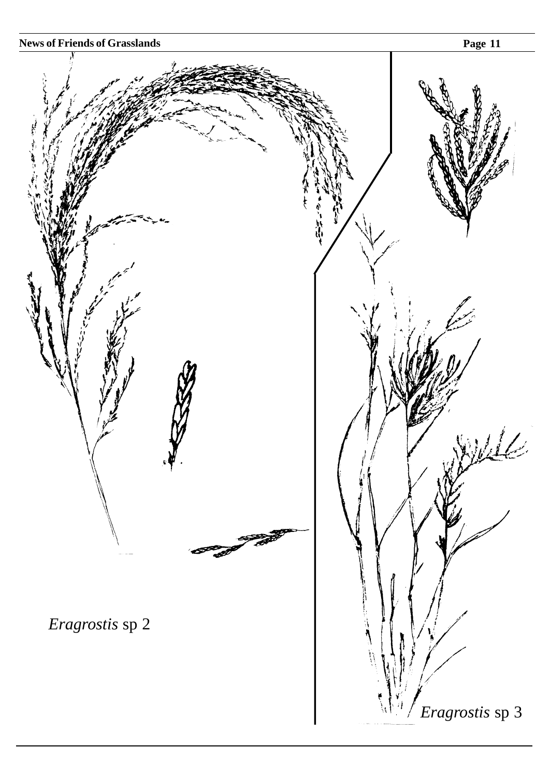